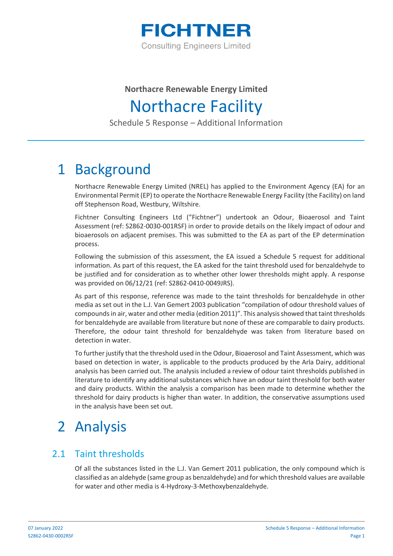

### **Northacre Renewable Energy Limited** Northacre Facility

Schedule 5 Response – Additional Information

## 1 Background

Northacre Renewable Energy Limited (NREL) has applied to the Environment Agency (EA) for an Environmental Permit (EP) to operate the Northacre Renewable Energy Facility (the Facility) on land off Stephenson Road, Westbury, Wiltshire.

Fichtner Consulting Engineers Ltd ("Fichtner") undertook an Odour, Bioaerosol and Taint Assessment (ref: S2862-0030-001RSF) in order to provide details on the likely impact of odour and bioaerosols on adjacent premises. This was submitted to the EA as part of the EP determination process.

Following the submission of this assessment, the EA issued a Schedule 5 request for additional information. As part of this request, the EA asked for the taint threshold used for benzaldehyde to be justified and for consideration as to whether other lower thresholds might apply. A response was provided on 06/12/21 (ref: S2862-0410-0049JRS).

As part of this response, reference was made to the taint thresholds for benzaldehyde in other media as set out in the L.J. Van Gemert 2003 publication "compilation of odour threshold values of compounds in air, water and other media (edition 2011)". This analysis showed that taint thresholds for benzaldehyde are available from literature but none of these are comparable to dairy products. Therefore, the odour taint threshold for benzaldehyde was taken from literature based on detection in water.

To further justify that the threshold used in the Odour, Bioaerosol and Taint Assessment, which was based on detection in water, is applicable to the products produced by the Arla Dairy, additional analysis has been carried out. The analysis included a review of odour taint thresholds published in literature to identify any additional substances which have an odour taint threshold for both water and dairy products. Within the analysis a comparison has been made to determine whether the threshold for dairy products is higher than water. In addition, the conservative assumptions used in the analysis have been set out.

# 2 Analysis

#### 2.1 Taint thresholds

Of all the substances listed in the L.J. Van Gemert 2011 publication, the only compound which is classified as an aldehyde (same group as benzaldehyde) and for which threshold values are available for water and other media is 4-Hydroxy-3-Methoxybenzaldehyde.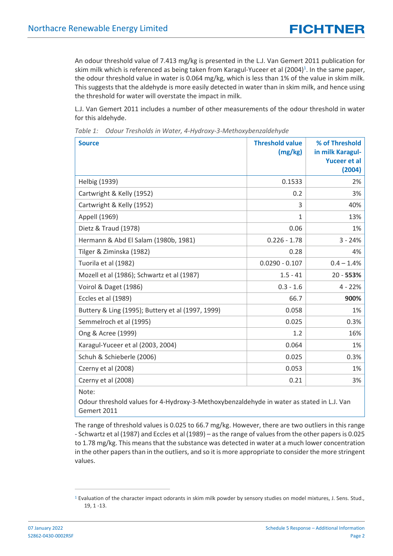An odour threshold value of 7.413 mg/kg is presented in the L.J. Van Gemert 2011 publication for skim milk which is referenced as being taken from Karagul-Yuceer et al (2004)<sup>1</sup>. In the same paper, the odour threshold value in water is 0.064 mg/kg, which is less than 1% of the value in skim milk. This suggests that the aldehyde is more easily detected in water than in skim milk, and hence using the threshold for water will overstate the impact in milk.

L.J. Van Gemert 2011 includes a number of other measurements of the odour threshold in water for this aldehyde.

| <b>Source</b>                                                                                      | <b>Threshold value</b><br>(mg/kg) | % of Threshold<br>in milk Karagul-<br><b>Yuceer et al</b><br>(2004) |
|----------------------------------------------------------------------------------------------------|-----------------------------------|---------------------------------------------------------------------|
| <b>Helbig (1939)</b>                                                                               | 0.1533                            | 2%                                                                  |
| Cartwright & Kelly (1952)                                                                          | 0.2                               | 3%                                                                  |
| Cartwright & Kelly (1952)                                                                          | 3                                 | 40%                                                                 |
| Appell (1969)                                                                                      | $\mathbf{1}$                      | 13%                                                                 |
| Dietz & Traud (1978)                                                                               | 0.06                              | 1%                                                                  |
| Hermann & Abd El Salam (1980b, 1981)                                                               | $0.226 - 1.78$                    | $3 - 24%$                                                           |
| Tilger & Ziminska (1982)                                                                           | 0.28                              | 4%                                                                  |
| Tuorila et al (1982)                                                                               | $0.0290 - 0.107$                  | $0.4 - 1.4%$                                                        |
| Mozell et al (1986); Schwartz et al (1987)                                                         | $1.5 - 41$                        | $20 - 553%$                                                         |
| Voirol & Daget (1986)                                                                              | $0.3 - 1.6$                       | $4 - 22%$                                                           |
| Eccles et al (1989)                                                                                | 66.7                              | 900%                                                                |
| Buttery & Ling (1995); Buttery et al (1997, 1999)                                                  | 0.058                             | 1%                                                                  |
| Semmelroch et al (1995)                                                                            | 0.025                             | 0.3%                                                                |
| Ong & Acree (1999)                                                                                 | 1.2                               | 16%                                                                 |
| Karagul-Yuceer et al (2003, 2004)                                                                  | 0.064                             | 1%                                                                  |
| Schuh & Schieberle (2006)                                                                          | 0.025                             | 0.3%                                                                |
| Czerny et al (2008)                                                                                | 0.053                             | 1%                                                                  |
| Czerny et al (2008)                                                                                | 0.21                              | 3%                                                                  |
| Note:<br>Odour threshold values for 4-Hydroxy-3-Methoxybenzaldehyde in water as stated in L.J. Van |                                   |                                                                     |

*Table 1: Odour Tresholds in Water, 4-Hydroxy-3-Methoxybenzaldehyde*

Gemert 2011 The range of threshold values is 0.025 to 66.7 mg/kg. However, there are two outliers in this range - Schwartz et al (1987) and Eccles et al (1989) – as the range of values from the other papers is 0.025

to 1.78 mg/kg. This means that the substance was detected in water at a much lower concentration in the other papers than in the outliers, and so it is more appropriate to consider the more stringent values.

 $1$  Evaluation of the character impact odorants in skim milk powder by sensory studies on model mixtures, J. Sens. Stud., 19, 1 -13.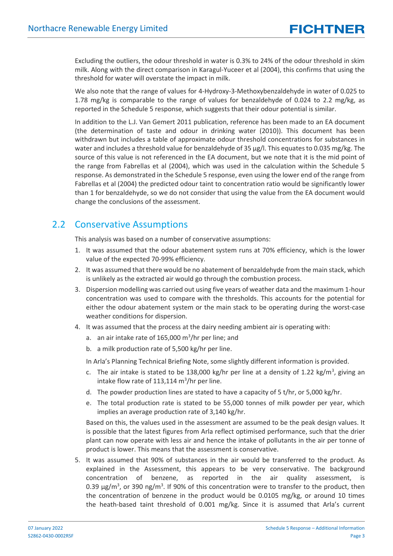Excluding the outliers, the odour threshold in water is 0.3% to 24% of the odour threshold in skim milk. Along with the direct comparison in Karagul-Yuceer et al (2004), this confirms that using the threshold for water will overstate the impact in milk.

We also note that the range of values for 4-Hydroxy-3-Methoxybenzaldehyde in water of 0.025 to 1.78 mg/kg is comparable to the range of values for benzaldehyde of 0.024 to 2.2 mg/kg, as reported in the Schedule 5 response, which suggests that their odour potential is similar.

In addition to the L.J. Van Gemert 2011 publication, reference has been made to an EA document (the determination of taste and odour in drinking water (2010)). This document has been withdrawn but includes a table of approximate odour threshold concentrations for substances in water and includes a threshold value for benzaldehyde of 35 µg/l. This equates to 0.035 mg/kg. The source of this value is not referenced in the EA document, but we note that it is the mid point of the range from Fabrellas et al (2004), which was used in the calculation within the Schedule 5 response. As demonstrated in the Schedule 5 response, even using the lower end of the range from Fabrellas et al (2004) the predicted odour taint to concentration ratio would be significantly lower than 1 for benzaldehyde, so we do not consider that using the value from the EA document would change the conclusions of the assessment.

#### 2.2 Conservative Assumptions

This analysis was based on a number of conservative assumptions:

- 1. It was assumed that the odour abatement system runs at 70% efficiency, which is the lower value of the expected 70-99% efficiency.
- 2. It was assumed that there would be no abatement of benzaldehyde from the main stack, which is unlikely as the extracted air would go through the combustion process.
- 3. Dispersion modelling was carried out using five years of weather data and the maximum 1-hour concentration was used to compare with the thresholds. This accounts for the potential for either the odour abatement system or the main stack to be operating during the worst-case weather conditions for dispersion.
- 4. It was assumed that the process at the dairy needing ambient air is operating with:
	- a. an air intake rate of 165,000  $\text{m}^3/\text{hr}$  per line; and
	- b. a milk production rate of 5,500 kg/hr per line.
	- In Arla's Planning Technical Briefing Note, some slightly different information is provided.
	- c. The air intake is stated to be 138,000 kg/hr per line at a density of 1.22 kg/m<sup>3</sup>, giving an intake flow rate of 113,114  $\text{m}^3/\text{hr}$  per line.
	- d. The powder production lines are stated to have a capacity of 5 t/hr, or 5,000 kg/hr.
	- e. The total production rate is stated to be 55,000 tonnes of milk powder per year, which implies an average production rate of 3,140 kg/hr.

Based on this, the values used in the assessment are assumed to be the peak design values. It is possible that the latest figures from Arla reflect optimised performance, such that the drier plant can now operate with less air and hence the intake of pollutants in the air per tonne of product is lower. This means that the assessment is conservative.

5. It was assumed that 90% of substances in the air would be transferred to the product. As explained in the Assessment, this appears to be very conservative. The background concentration of benzene, as reported in the air quality assessment, is 0.39  $\mu$ g/m<sup>3</sup>, or 390 ng/m<sup>3</sup>. If 90% of this concentration were to transfer to the product, then the concentration of benzene in the product would be 0.0105 mg/kg, or around 10 times the heath-based taint threshold of 0.001 mg/kg. Since it is assumed that Arla's current